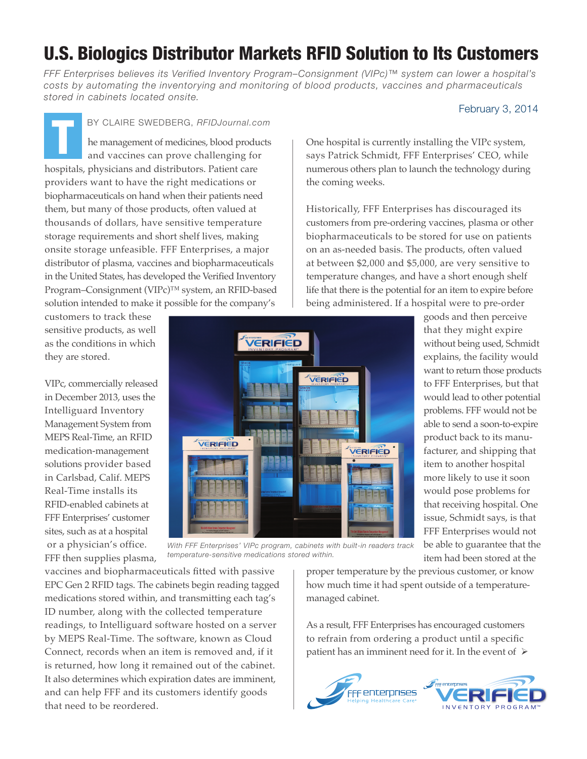## U.S. Biologics Distributor Markets RFID Solution to Its Customers

*FFF Enterprises believes its Verified Inventory Program–Consignment (VIPc)™ system can lower a hospital's costs by automating the inventorying and monitoring of blood products, vaccines and pharmaceuticals stored in cabinets located onsite.*

## February 3, 2014

he management of medicines, blood products and vaccines can prove challenging for hospitals, physicians and distributors. Patient care providers want to have the right medications or biopharmaceuticals on hand when their patients need them, but many of those products, often valued at thousands of dollars, have sensitive temperature storage requirements and short shelf lives, making onsite storage unfeasible. FFF Enterprises, a major distributor of plasma, vaccines and biopharmaceuticals in the United States, has developed the Verified Inventory Program–Consignment (VIPc)™ system, an RFID-based solution intended to make it possible for the company's BY CLAIRE SWEDBERG, RFIDJournal.com

customers to track these sensitive products, as well as the conditions in which they are stored.

VIPc, commercially released in December 2013, uses the Intelliguard Inventory Management System from MEPS Real-Time, an RFID medication-management solutions provider based in Carlsbad, Calif. MEPS Real-Time installs its RFID-enabled cabinets at FFF Enterprises' customer sites, such as at a hospital or a physician's office. FFF then supplies plasma,



*With FFF Enterprises' VIPc program, cabinets with built-in readers track temperature-sensitive medications stored within.*

vaccines and biopharmaceuticals fitted with passive EPC Gen 2 RFID tags. The cabinets begin reading tagged medications stored within, and transmitting each tag's ID number, along with the collected temperature readings, to Intelliguard software hosted on a server by MEPS Real-Time. The software, known as Cloud Connect, records when an item is removed and, if it is returned, how long it remained out of the cabinet. It also determines which expiration dates are imminent, and can help FFF and its customers identify goods that need to be reordered.

One hospital is currently installing the VIPc system, says Patrick Schmidt, FFF Enterprises' CEO, while numerous others plan to launch the technology during the coming weeks.

Historically, FFF Enterprises has discouraged its customers from pre-ordering vaccines, plasma or other biopharmaceuticals to be stored for use on patients on an as-needed basis. The products, often valued at between \$2,000 and \$5,000, are very sensitive to temperature changes, and have a short enough shelf life that there is the potential for an item to expire before being administered. If a hospital were to pre-order

goods and then perceive that they might expire without being used, Schmidt explains, the facility would want to return those products to FFF Enterprises, but that would lead to other potential problems. FFF would not be able to send a soon-to-expire product back to its manufacturer, and shipping that item to another hospital more likely to use it soon would pose problems for that receiving hospital. One issue, Schmidt says, is that FFF Enterprises would not be able to guarantee that the item had been stored at the

proper temperature by the previous customer, or know how much time it had spent outside of a temperaturemanaged cabinet.

As a result, FFF Enterprises has encouraged customers to refrain from ordering a product until a specific patient has an imminent need for it. In the event of  $\triangleright$